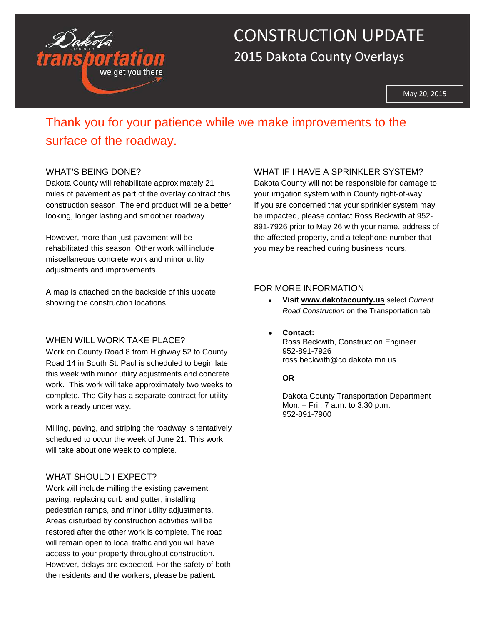

# CONSTRUCTION UPDATE 2015 Dakota County Overlays

May 20, 2015

### Thank you for your patience while we make improvements to the surface of the roadway.

#### WHAT'S BEING DONE?

Dakota County will rehabilitate approximately 21 miles of pavement as part of the overlay contract this construction season. The end product will be a better looking, longer lasting and smoother roadway.

However, more than just pavement will be rehabilitated this season. Other work will include miscellaneous concrete work and minor utility adjustments and improvements.

A map is attached on the backside of this update showing the construction locations.

#### WHEN WILL WORK TAKE PLACE?

Work on County Road 8 from Highway 52 to County Road 14 in South St. Paul is scheduled to begin late this week with minor utility adjustments and concrete work. This work will take approximately two weeks to complete. The City has a separate contract for utility work already under way.

Milling, paving, and striping the roadway is tentatively scheduled to occur the week of June 21. This work will take about one week to complete.

#### WHAT SHOULD I EXPECT?

Work will include milling the existing pavement, paving, replacing curb and gutter, installing pedestrian ramps, and minor utility adjustments. Areas disturbed by construction activities will be restored after the other work is complete. The road will remain open to local traffic and you will have access to your property throughout construction. However, delays are expected. For the safety of both the residents and the workers, please be patient.

#### WHAT IF I HAVE A SPRINKLER SYSTEM?

Dakota County will not be responsible for damage to your irrigation system within County right-of-way. If you are concerned that your sprinkler system may be impacted, please contact Ross Beckwith at 952- 891-7926 prior to May 26 with your name, address of the affected property, and a telephone number that you may be reached during business hours.

#### FOR MORE INFORMATION

- **Visit [www.dakotacounty.us](http://www.dakotacounty.us/)** select *Current Road Construction* on the Transportation tab
- **Contact:**  Ross Beckwith, Construction Engineer 952-891-7926 [ross.beckwith@co.dakota.mn.us](mailto:ross.beckwith@co.dakota.mn.us?subject=2013%20Overlay%20&%20Signal%20Projects)

#### **OR**

Dakota County Transportation Department Mon. – Fri., 7 a.m. to 3:30 p.m. 952-891-7900